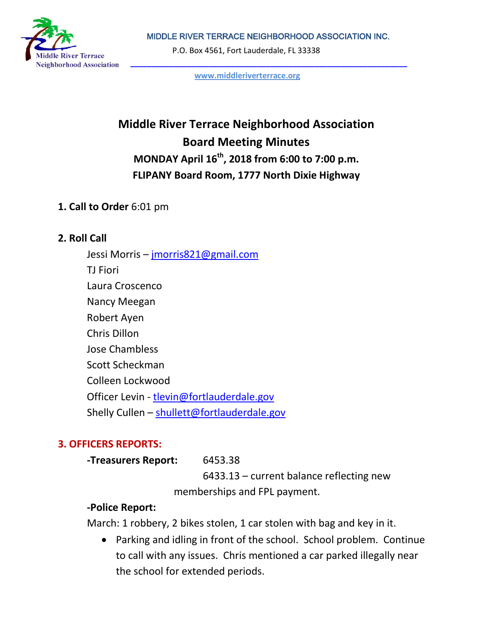MIDDLE RIVER TERRACE NEIGHBORHOOD ASSOCIATION INC.



P.O. Box 4561, Fort Lauderdale, FL 33338

**[www.middleriverterrace.org](http://www.middleriverterrace.org/)**

# **Middle River Terrace Neighborhood Association Board Meeting Minutes MONDAY April 16th, 2018 from 6:00 to 7:00 p.m. FLIPANY Board Room, 1777 North Dixie Highway**

### **1. Call to Order** 6:01 pm

#### **2. Roll Call**

Jessi Morris – [jmorris821@gmail.com](mailto:jmorris821@gmail.com) TJ Fiori Laura Croscenco Nancy Meegan Robert Ayen Chris Dillon Jose Chambless Scott Scheckman Colleen Lockwood Officer Levin - [tlevin@fortlauderdale.gov](mailto:tlevin@fortlauderdale.gov) Shelly Cullen - [shullett@fortlauderdale.gov](mailto:shullett@fortlauderdale.gov)

## **3. OFFICERS REPORTS:**

**-Treasurers Report:** 6453.38

6433.13 – current balance reflecting new memberships and FPL payment.

## **-Police Report:**

March: 1 robbery, 2 bikes stolen, 1 car stolen with bag and key in it.

• Parking and idling in front of the school. School problem. Continue to call with any issues. Chris mentioned a car parked illegally near the school for extended periods.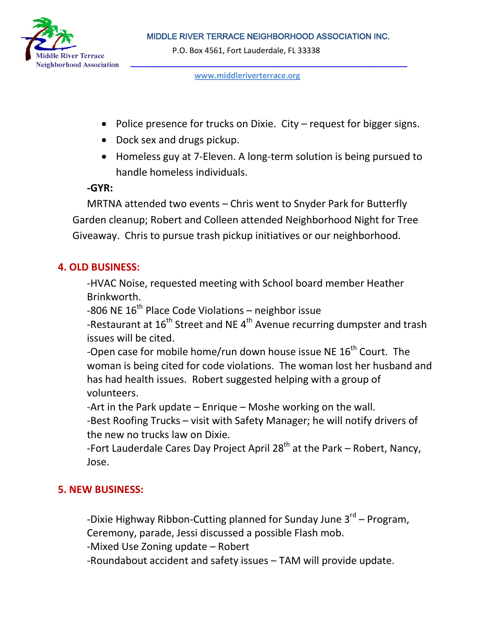

MIDDLE RIVER TERRACE NEIGHBORHOOD ASSOCIATION INC.

P.O. Box 4561, Fort Lauderdale, FL 33338

#### **[www.middleriverterrace.org](http://www.middleriverterrace.org/)**

- Police presence for trucks on Dixie. City request for bigger signs.
- Dock sex and drugs pickup.
- Homeless guy at 7-Eleven. A long-term solution is being pursued to handle homeless individuals.

#### **-GYR:**

MRTNA attended two events – Chris went to Snyder Park for Butterfly Garden cleanup; Robert and Colleen attended Neighborhood Night for Tree Giveaway. Chris to pursue trash pickup initiatives or our neighborhood.

## **4. OLD BUSINESS:**

-HVAC Noise, requested meeting with School board member Heather Brinkworth.

-806 NE  $16<sup>th</sup>$  Place Code Violations – neighbor issue

-Restaurant at  $16^{th}$  Street and NE  $4^{th}$  Avenue recurring dumpster and trash issues will be cited.

-Open case for mobile home/run down house issue NE  $16<sup>th</sup>$  Court. The woman is being cited for code violations. The woman lost her husband and has had health issues. Robert suggested helping with a group of volunteers.

-Art in the Park update – Enrique – Moshe working on the wall.

-Best Roofing Trucks – visit with Safety Manager; he will notify drivers of the new no trucks law on Dixie.

-Fort Lauderdale Cares Day Project April 28<sup>th</sup> at the Park – Robert, Nancy, Jose.

## **5. NEW BUSINESS:**

-Dixie Highway Ribbon-Cutting planned for Sunday June  $3^{rd}$  – Program, Ceremony, parade, Jessi discussed a possible Flash mob.

-Mixed Use Zoning update – Robert

-Roundabout accident and safety issues – TAM will provide update.